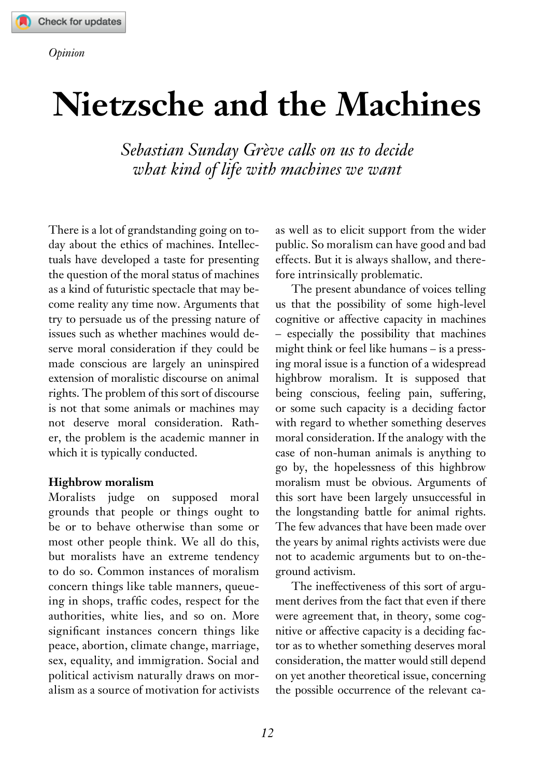## **Nietzsche and the Machines**

*Sebastian Sunday Grève calls on us to decide what kind of life with machines we want* 

There is a lot of grandstanding going on today about the ethics of machines. Intellectuals have developed a taste for presenting the question of the moral status of machines as a kind of futuristic spectacle that may become reality any time now. Arguments that try to persuade us of the pressing nature of issues such as whether machines would deserve moral consideration if they could be made conscious are largely an uninspired extension of moralistic discourse on animal rights. The problem of this sort of discourse is not that some animals or machines may not deserve moral consideration. Rather, the problem is the academic manner in which it is typically conducted.

## **Highbrow moralism**

Moralists judge on supposed moral grounds that people or things ought to be or to behave otherwise than some or most other people think. We all do this, but moralists have an extreme tendency to do so. Common instances of moralism concern things like table manners, queueing in shops, traffic codes, respect for the authorities, white lies, and so on. More significant instances concern things like peace, abortion, climate change, marriage, sex, equality, and immigration. Social and political activism naturally draws on moralism as a source of motivation for activists as well as to elicit support from the wider public. So moralism can have good and bad effects. But it is always shallow, and therefore intrinsically problematic.

The present abundance of voices telling us that the possibility of some high-level cognitive or affective capacity in machines – especially the possibility that machines might think or feel like humans – is a pressing moral issue is a function of a widespread highbrow moralism. It is supposed that being conscious, feeling pain, suffering, or some such capacity is a deciding factor with regard to whether something deserves moral consideration. If the analogy with the case of non-human animals is anything to go by, the hopelessness of this highbrow moralism must be obvious. Arguments of this sort have been largely unsuccessful in the longstanding battle for animal rights. The few advances that have been made over the years by animal rights activists were due not to academic arguments but to on-theground activism.

The ineffectiveness of this sort of argument derives from the fact that even if there were agreement that, in theory, some cognitive or affective capacity is a deciding factor as to whether something deserves moral consideration, the matter would still depend on yet another theoretical issue, concerning the possible occurrence of the relevant ca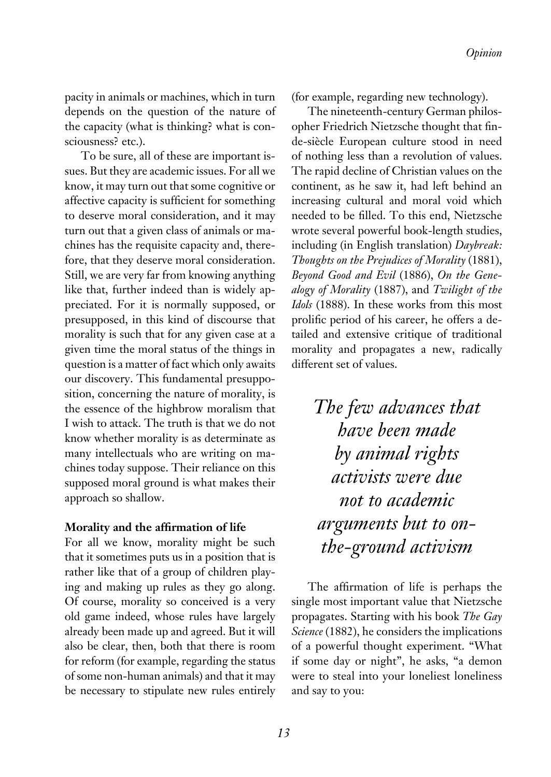pacity in animals or machines, which in turn depends on the question of the nature of the capacity (what is thinking? what is consciousness? etc.).

To be sure, all of these are important issues. But they are academic issues. For all we know, it may turn out that some cognitive or affective capacity is sufficient for something to deserve moral consideration, and it may turn out that a given class of animals or machines has the requisite capacity and, therefore, that they deserve moral consideration. Still, we are very far from knowing anything like that, further indeed than is widely appreciated. For it is normally supposed, or presupposed, in this kind of discourse that morality is such that for any given case at a given time the moral status of the things in question is a matter of fact which only awaits our discovery. This fundamental presupposition, concerning the nature of morality, is the essence of the highbrow moralism that I wish to attack. The truth is that we do not know whether morality is as determinate as many intellectuals who are writing on machines today suppose. Their reliance on this supposed moral ground is what makes their approach so shallow.

## **Morality and the affirmation of life**

For all we know, morality might be such that it sometimes puts us in a position that is rather like that of a group of children playing and making up rules as they go along. Of course, morality so conceived is a very old game indeed, whose rules have largely already been made up and agreed. But it will also be clear, then, both that there is room for reform (for example, regarding the status of some non-human animals) and that it may be necessary to stipulate new rules entirely (for example, regarding new technology).

The nineteenth-century German philosopher Friedrich Nietzsche thought that finde-siècle European culture stood in need of nothing less than a revolution of values. The rapid decline of Christian values on the continent, as he saw it, had left behind an increasing cultural and moral void which needed to be filled. To this end, Nietzsche wrote several powerful book-length studies, including (in English translation) *Daybreak: Thoughts on the Prejudices of Morality* (1881), *Beyond Good and Evil* (1886), *On the Genealogy of Morality* (1887), and *Twilight of the Idols* (1888). In these works from this most prolific period of his career, he offers a detailed and extensive critique of traditional morality and propagates a new, radically different set of values.

> *The few advances that have been made by animal rights activists were due not to academic arguments but to onthe-ground activism*

The affirmation of life is perhaps the single most important value that Nietzsche propagates. Starting with his book *The Gay Science* (1882), he considers the implications of a powerful thought experiment. "What if some day or night", he asks, "a demon were to steal into your loneliest loneliness and say to you: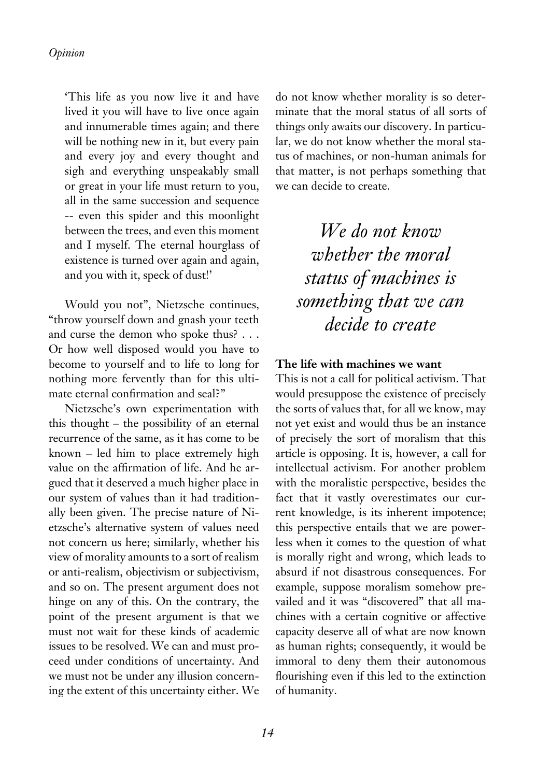'This life as you now live it and have lived it you will have to live once again and innumerable times again; and there will be nothing new in it, but every pain and every joy and every thought and sigh and everything unspeakably small or great in your life must return to you, all in the same succession and sequence -- even this spider and this moonlight between the trees, and even this moment and I myself. The eternal hourglass of existence is turned over again and again, and you with it, speck of dust!'

Would you not", Nietzsche continues, "throw yourself down and gnash your teeth and curse the demon who spoke thus? . . . Or how well disposed would you have to become to yourself and to life to long for nothing more fervently than for this ultimate eternal confirmation and seal?"

Nietzsche's own experimentation with this thought – the possibility of an eternal recurrence of the same, as it has come to be known – led him to place extremely high value on the affirmation of life. And he argued that it deserved a much higher place in our system of values than it had traditionally been given. The precise nature of Nietzsche's alternative system of values need not concern us here; similarly, whether his view of morality amounts to a sort of realism or anti-realism, objectivism or subjectivism, and so on. The present argument does not hinge on any of this. On the contrary, the point of the present argument is that we must not wait for these kinds of academic issues to be resolved. We can and must proceed under conditions of uncertainty. And we must not be under any illusion concerning the extent of this uncertainty either. We do not know whether morality is so determinate that the moral status of all sorts of things only awaits our discovery. In particular, we do not know whether the moral status of machines, or non-human animals for that matter, is not perhaps something that we can decide to create.

*We do not know whether the moral status of machines is something that we can decide to create*

## **The life with machines we want**

This is not a call for political activism. That would presuppose the existence of precisely the sorts of values that, for all we know, may not yet exist and would thus be an instance of precisely the sort of moralism that this article is opposing. It is, however, a call for intellectual activism. For another problem with the moralistic perspective, besides the fact that it vastly overestimates our current knowledge, is its inherent impotence; this perspective entails that we are powerless when it comes to the question of what is morally right and wrong, which leads to absurd if not disastrous consequences. For example, suppose moralism somehow prevailed and it was "discovered" that all machines with a certain cognitive or affective capacity deserve all of what are now known as human rights; consequently, it would be immoral to deny them their autonomous flourishing even if this led to the extinction of humanity.